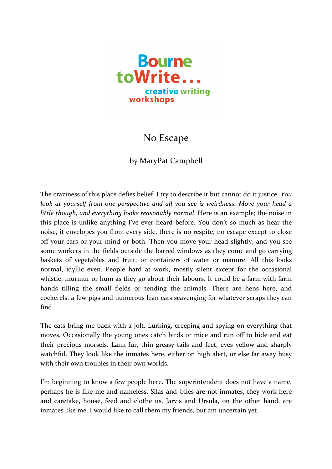

## No Escape

## by MaryPat Campbell

The craziness of this place defies belief. I try to describe it but cannot do it justice. *You look at yourself from one perspective and all you see is weirdness. Move your head a little though, and everything looks reasonably normal.* Here is an example; the noise in this place is unlike anything I've ever heard before. You don't so much as hear the noise, it envelopes you from every side, there is no respite, no escape except to close off your ears or your mind or both. Then you move your head slightly, and you see some workers in the fields outside the barred windows as they come and go carrying baskets of vegetables and fruit, or containers of water or manure. All this looks normal, idyllic even. People hard at work, mostly silent except for the occasional whistle, murmur or hum as they go about their labours. It could be a farm with farm hands tilling the small fields or tending the animals. There are hens here, and cockerels, a few pigs and numerous lean cats scavenging for whatever scraps they can find.

The cats bring me back with a jolt. Lurking, creeping and spying on everything that moves. Occasionally the young ones catch birds or mice and run off to hide and eat their precious morsels. Lank fur, thin greasy tails and feet, eyes yellow and sharply watchful. They look like the inmates here, either on high alert, or else far away busy with their own troubles in their own worlds.

I'm beginning to know a few people here. The superintendent does not have a name, perhaps he is like me and nameless. Silas and Giles are not inmates, they work here and caretake, house, feed and clothe us. Jarvis and Ursula, on the other hand, are inmates like me. I would like to call them my friends, but am uncertain yet.